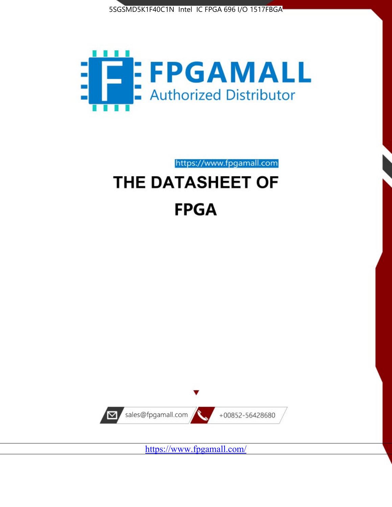



https://www.fpgamall.com

# THE DATASHEET OF **FPGA**



<https://www.fpgamall.com/>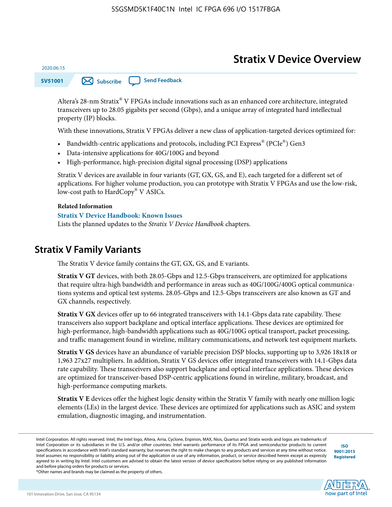# **Stratix V Device Overview**

**SV51001 [Subscribe](https://www.altera.com/servlets/subscriptions/alert?id=SV51001) [Send Feedback](mailto:FPGAtechdocfeedback@intel.com?subject=Feedback%20on%20(SV51001%202020.06.15)%20Stratix%20V%20Device%20Overview&body=We%20appreciate%20your%20feedback.%20In%20your%20comments,%20also%20specify%20the%20page%20number%20or%20paragraph.%20Thank%20you.)** 

Altera's 28-nm Stratix® V FPGAs include innovations such as an enhanced core architecture, integrated transceivers up to 28.05 gigabits per second (Gbps), and a unique array of integrated hard intellectual property (IP) blocks.

With these innovations, Stratix V FPGAs deliver a new class of application-targeted devices optimized for:

- Bandwidth-centric applications and protocols, including PCI Express® (PCIe®) Gen3
- Data-intensive applications for 40G/100G and beyond
- High-performance, high-precision digital signal processing (DSP) applications

Stratix V devices are available in four variants (GT, GX, GS, and E), each targeted for a different set of applications. For higher volume production, you can prototype with Stratix V FPGAs and use the low-risk, low-cost path to HardCopy® V ASICs.

#### **Related Information**

2020.06.15

#### **[Stratix V Device Handbook: Known Issues](http://www.altera.com/support/kdb/solutions/rd08242010_83.html)**

Lists the planned updates to the *Stratix V Device Handbook* chapters.

### **Stratix V Family Variants**

The Stratix V device family contains the GT, GX, GS, and E variants.

**Stratix V GT** devices, with both 28.05-Gbps and 12.5-Gbps transceivers, are optimized for applications that require ultra-high bandwidth and performance in areas such as 40G/100G/400G optical communica‐ tions systems and optical test systems. 28.05-Gbps and 12.5-Gbps transceivers are also known as GT and GX channels, respectively.

**Stratix V GX** devices offer up to 66 integrated transceivers with 14.1-Gbps data rate capability. These transceivers also support backplane and optical interface applications. These devices are optimized for high-performance, high-bandwidth applications such as 40G/100G optical transport, packet processing, and traffic management found in wireline, military communications, and network test equipment markets.

**Stratix V GS** devices have an abundance of variable precision DSP blocks, supporting up to 3,926 18x18 or 1,963 27x27 multipliers. In addition, Stratix V GS devices offer integrated transceivers with 14.1-Gbps data rate capability. These transceivers also support backplane and optical interface applications. These devices are optimized for transceiver-based DSP-centric applications found in wireline, military, broadcast, and high-performance computing markets.

**Stratix V E** devices offer the highest logic density within the Stratix V family with nearly one million logic elements (LEs) in the largest device. These devices are optimized for applications such as ASIC and system emulation, diagnostic imaging, and instrumentation.

**[ISO](http://www.altera.com/support/devices/reliability/certifications/rel-certifications.html) [9001:2015](http://www.altera.com/support/devices/reliability/certifications/rel-certifications.html) [Registered](http://www.altera.com/support/devices/reliability/certifications/rel-certifications.html)**

**low part of Intel** 

\*Other names and brands may be claimed as the property of others.

Intel Corporation. All rights reserved. Intel, the Intel logo, Altera, Arria, Cyclone, Enpirion, MAX, Nios, Quartus and Stratix words and logos are trademarks of Intel Corporation or its subsidiaries in the U.S. and/or other countries. Intel warrants performance of its FPGA and semiconductor products to current specifications in accordance with Intel's standard warranty, but reserves the right to make changes to any products and services at any time without notice. Intel assumes no responsibility or liability arising out of the application or use of any information, product, or service described herein except as expressly agreed to in writing by Intel. Intel customers are advised to obtain the latest version of device specifications before relying on any published information and before placing orders for products or services.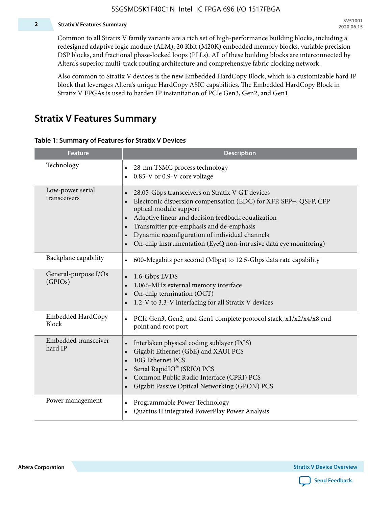#### **2 Stratix V Features Summary**

Common to all Stratix V family variants are a rich set of high-performance building blocks, including a redesigned adaptive logic module (ALM), 20 Kbit (M20K) embedded memory blocks, variable precision DSP blocks, and fractional phase-locked loops (PLLs). All of these building blocks are interconnected by Altera's superior multi-track routing architecture and comprehensive fabric clocking network.

Also common to Stratix V devices is the new Embedded HardCopy Block, which is a customizable hard IP block that leverages Altera's unique HardCopy ASIC capabilities. The Embedded HardCopy Block in Stratix V FPGAs is used to harden IP instantiation of PCIe Gen3, Gen2, and Gen1.

### **Stratix V Features Summary**

#### **Table 1: Summary of Features for Stratix V Devices**

| <b>Feature</b>                    | <b>Description</b>                                                                                                                                                                                                                                                                                                                                                                                                         |
|-----------------------------------|----------------------------------------------------------------------------------------------------------------------------------------------------------------------------------------------------------------------------------------------------------------------------------------------------------------------------------------------------------------------------------------------------------------------------|
| Technology                        | 28-nm TSMC process technology<br>0.85-V or 0.9-V core voltage<br>$\bullet$                                                                                                                                                                                                                                                                                                                                                 |
| Low-power serial<br>transceivers  | 28.05-Gbps transceivers on Stratix V GT devices<br>$\bullet$<br>Electronic dispersion compensation (EDC) for XFP, SFP+, QSFP, CFP<br>optical module support<br>Adaptive linear and decision feedback equalization<br>$\bullet$<br>Transmitter pre-emphasis and de-emphasis<br>Dynamic reconfiguration of individual channels<br>$\bullet$<br>On-chip instrumentation (EyeQ non-intrusive data eye monitoring)<br>$\bullet$ |
| Backplane capability              | 600-Megabits per second (Mbps) to 12.5-Gbps data rate capability<br>$\bullet$                                                                                                                                                                                                                                                                                                                                              |
| General-purpose I/Os<br>(GPIOs)   | 1.6-Gbps LVDS<br>1,066-MHz external memory interface<br>$\bullet$<br>On-chip termination (OCT)<br>$\bullet$<br>1.2-V to 3.3-V interfacing for all Stratix V devices                                                                                                                                                                                                                                                        |
| Embedded HardCopy<br><b>Block</b> | PCIe Gen3, Gen2, and Gen1 complete protocol stack, x1/x2/x4/x8 end<br>$\bullet$<br>point and root port                                                                                                                                                                                                                                                                                                                     |
| Embedded transceiver<br>hard IP   | Interlaken physical coding sublayer (PCS)<br>$\bullet$<br>Gigabit Ethernet (GbE) and XAUI PCS<br>$\bullet$<br>10G Ethernet PCS<br>Serial RapidIO® (SRIO) PCS<br>$\bullet$<br>Common Public Radio Interface (CPRI) PCS<br>$\bullet$<br>Gigabit Passive Optical Networking (GPON) PCS<br>$\bullet$                                                                                                                           |
| Power management                  | Programmable Power Technology<br>Quartus II integrated PowerPlay Power Analysis<br>$\bullet$                                                                                                                                                                                                                                                                                                                               |

**Altera Corporation** 

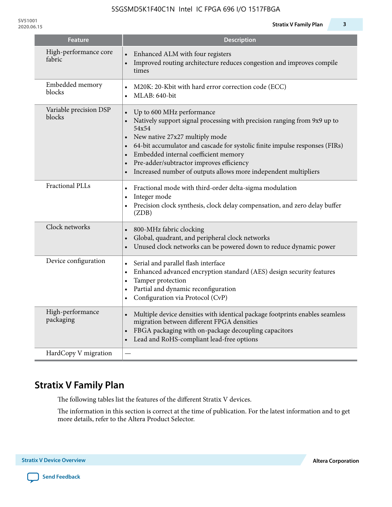| <b>Feature</b>                   | <b>Description</b>                                                                                                                                                                                                                                                                                                                                                                                                                         |
|----------------------------------|--------------------------------------------------------------------------------------------------------------------------------------------------------------------------------------------------------------------------------------------------------------------------------------------------------------------------------------------------------------------------------------------------------------------------------------------|
| High-performance core<br>fabric  | Enhanced ALM with four registers<br>Improved routing architecture reduces congestion and improves compile<br>times                                                                                                                                                                                                                                                                                                                         |
| Embedded memory<br>blocks        | M20K: 20-Kbit with hard error correction code (ECC)<br>$\bullet$<br>MLAB: 640-bit                                                                                                                                                                                                                                                                                                                                                          |
| Variable precision DSP<br>blocks | Up to 600 MHz performance<br>Natively support signal processing with precision ranging from 9x9 up to<br>54x54<br>New native 27x27 multiply mode<br>64-bit accumulator and cascade for systolic finite impulse responses (FIRs)<br>$\bullet$<br>Embedded internal coefficient memory<br>$\bullet$<br>Pre-adder/subtractor improves efficiency<br>$\bullet$<br>Increased number of outputs allows more independent multipliers<br>$\bullet$ |
| <b>Fractional PLLs</b>           | Fractional mode with third-order delta-sigma modulation<br>$\bullet$<br>Integer mode<br>$\bullet$<br>Precision clock synthesis, clock delay compensation, and zero delay buffer<br>(ZDB)                                                                                                                                                                                                                                                   |
| Clock networks                   | 800-MHz fabric clocking<br>Global, quadrant, and peripheral clock networks<br>Unused clock networks can be powered down to reduce dynamic power<br>$\bullet$                                                                                                                                                                                                                                                                               |
| Device configuration             | Serial and parallel flash interface<br>$\bullet$<br>Enhanced advanced encryption standard (AES) design security features<br>$\bullet$<br>Tamper protection<br>$\bullet$<br>Partial and dynamic reconfiguration<br>$\bullet$<br>Configuration via Protocol (CvP)<br>$\bullet$                                                                                                                                                               |
| High-performance<br>packaging    | Multiple device densities with identical package footprints enables seamless<br>migration between different FPGA densities<br>FBGA packaging with on-package decoupling capacitors<br>Lead and RoHS-compliant lead-free options                                                                                                                                                                                                            |
| HardCopy V migration             |                                                                                                                                                                                                                                                                                                                                                                                                                                            |

# **Stratix V Family Plan**

The following tables list the features of the different Stratix V devices.

The information in this section is correct at the time of publication. For the latest information and to get more details, refer to the Altera Product Selector.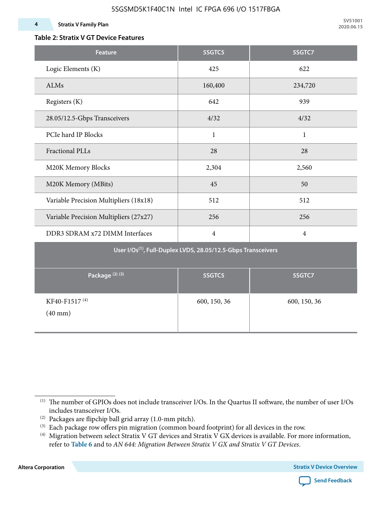### **Table 2: Stratix V GT Device Features**

| <b>Feature</b>                                                            | 5SGTC5         | 5SGTC7         |  |  |  |  |  |  |  |
|---------------------------------------------------------------------------|----------------|----------------|--|--|--|--|--|--|--|
| Logic Elements (K)                                                        | 425            | 622            |  |  |  |  |  |  |  |
| ALMs                                                                      | 160,400        | 234,720        |  |  |  |  |  |  |  |
| Registers (K)                                                             | 642            | 939            |  |  |  |  |  |  |  |
| 28.05/12.5-Gbps Transceivers                                              | 4/32           | 4/32           |  |  |  |  |  |  |  |
| PCIe hard IP Blocks                                                       | $\mathbf{1}$   | $\mathbf{1}$   |  |  |  |  |  |  |  |
| <b>Fractional PLLs</b>                                                    | 28             | 28             |  |  |  |  |  |  |  |
| M20K Memory Blocks                                                        | 2,304          | 2,560          |  |  |  |  |  |  |  |
| M20K Memory (MBits)                                                       | 45             | 50             |  |  |  |  |  |  |  |
| Variable Precision Multipliers (18x18)                                    | 512            | 512            |  |  |  |  |  |  |  |
| Variable Precision Multipliers (27x27)                                    | 256            | 256            |  |  |  |  |  |  |  |
| DDR3 SDRAM x72 DIMM Interfaces                                            | $\overline{4}$ | $\overline{4}$ |  |  |  |  |  |  |  |
| User I/Os <sup>(1)</sup> , Full-Duplex LVDS, 28.05/12.5-Gbps Transceivers |                |                |  |  |  |  |  |  |  |
| Package <sup>(2)(3)</sup>                                                 | 5SGTC5         | 5SGTC7         |  |  |  |  |  |  |  |
| KF40-F1517 <sup>(4)</sup><br>$(40$ mm $)$                                 | 600, 150, 36   | 600, 150, 36   |  |  |  |  |  |  |  |

**Altera Corporation** 



<sup>(1)</sup> The number of GPIOs does not include transceiver I/Os. In the Quartus II software, the number of user I/Os includes transceiver I/Os.

 $^{(2)}$  Packages are flipchip ball grid array (1.0-mm pitch).

<sup>(3)</sup> Each package row offers pin migration (common board footprint) for all devices in the row.

<sup>(4)</sup> Migration between select Stratix V GT devices and Stratix V GX devices is available. For more information, refer to **Table 6** and to *AN 644: Migration Between Stratix V GX and Stratix V GT Devices*.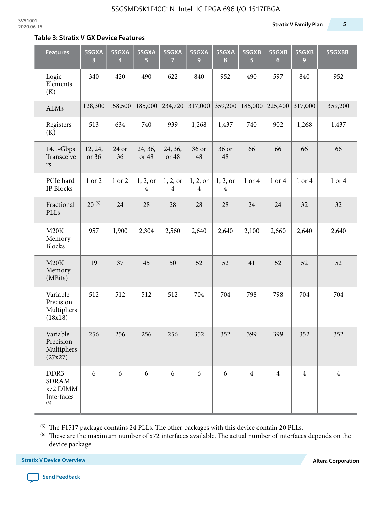#### **Table 3: Stratix V GX Device Features**

| <b>Features</b>                                       | 5SGXA<br>3       | 5SGXA<br>4  | 5SGXA<br>5.      | 5SGXA<br>7                 | 5SGXA<br>9                 | 5SGXA<br>B    | 5SGXB<br>5     | 5SGXB<br>6     | 5SGXB<br>9     | 5SGXBB         |
|-------------------------------------------------------|------------------|-------------|------------------|----------------------------|----------------------------|---------------|----------------|----------------|----------------|----------------|
| Logic<br>Elements<br>(K)                              | 340              | 420         | 490              | 622                        | 840                        | 952           | 490            | 597            | 840            | 952            |
| ALMs                                                  | 128,300          | 158,500     | 185,000          | 234,720                    | 317,000                    | 359,200       | 185,000        | 225,400        | 317,000        | 359,200        |
| Registers<br>(K)                                      | 513              | 634         | 740              | 939                        | 1,268                      | 1,437         | 740            | 902            | 1,268          | 1,437          |
| 14.1-Gbps<br>Transceive<br>$\mathbf{r}\mathbf{s}$     | 12, 24,<br>or 36 | 24 or<br>36 | 24, 36,<br>or 48 | 24, 36,<br>or 48           | 36 or<br>48                | 36 or<br>48   | 66             | 66             | 66             | 66             |
| PCIe hard<br>IP Blocks                                | 1 or 2           | 1 or 2      | 1, 2, or<br>4    | 1, 2, or<br>$\overline{4}$ | 1, 2, or<br>$\overline{4}$ | 1, 2, or<br>4 | 1 or 4         | 1 or 4         | 1 or 4         | 1 or 4         |
| Fractional<br>PLLs                                    | $20^{(5)}$       | 24          | 28               | 28                         | 28                         | 28            | 24             | 24             | 32             | 32             |
| M20K<br>Memory<br><b>Blocks</b>                       | 957              | 1,900       | 2,304            | 2,560                      | 2,640                      | 2,640         | 2,100          | 2,660          | 2,640          | 2,640          |
| M20K<br>Memory<br>(MBits)                             | 19               | 37          | 45               | 50                         | 52                         | 52            | 41             | 52             | 52             | 52             |
| Variable<br>Precision<br>Multipliers<br>(18x18)       | 512              | 512         | 512              | 512                        | 704                        | 704           | 798            | 798            | 704            | 704            |
| Variable<br>Precision<br>Multipliers<br>(27x27)       | 256              | 256         | 256              | 256                        | 352                        | 352           | 399            | 399            | 352            | 352            |
| DDR3<br><b>SDRAM</b><br>x72 DIMM<br>Interfaces<br>(6) | 6                | 6           | 6                | 6                          | 6                          | 6             | $\overline{4}$ | $\overline{4}$ | $\overline{4}$ | $\overline{4}$ |

 $^{\left(5\right)}$  The F1517 package contains 24 PLLs. The other packages with this device contain 20 PLLs.

(6) These are the maximum number of x72 interfaces available. The actual number of interfaces depends on the device package.

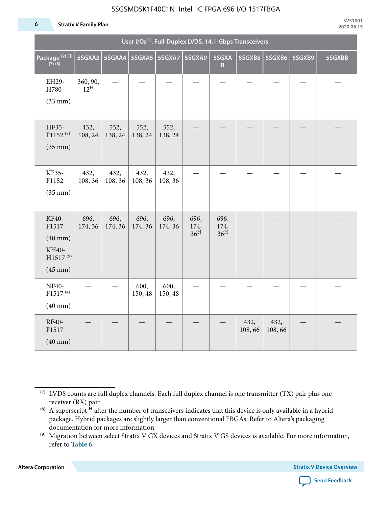#### **6 Stratix V Family Plan**

|                                                                                 | User I/Os <sup>(1)</sup> , Full-Duplex LVDS, 14.1-Gbps Transceivers |                 |                 |                 |                                 |                                 |                |                |        |        |  |  |
|---------------------------------------------------------------------------------|---------------------------------------------------------------------|-----------------|-----------------|-----------------|---------------------------------|---------------------------------|----------------|----------------|--------|--------|--|--|
| Package <sup>(2)(3)</sup><br>$(7)$ (8)                                          | 5SGXA3                                                              |                 |                 |                 | 5SGXA9                          | 5SGXA<br>B                      |                | 5SGXB5 5SGXB6  | 5SGXB9 | 5SGXBB |  |  |
| EH29-<br>H780<br>$(33$ mm $)$                                                   | 360, 90,<br>$12^{\text{H}}$                                         |                 |                 |                 |                                 |                                 |                |                |        |        |  |  |
| HF35-<br>$F1152^{(9)}$<br>$(35$ mm $)$                                          | 432,<br>108, 24                                                     | 552,<br>138, 24 | 552,<br>138, 24 | 552,<br>138, 24 |                                 |                                 |                |                |        |        |  |  |
| KF35-<br>F1152<br>$(35$ mm $)$                                                  | 432,<br>108, 36                                                     | 432,<br>108, 36 | 432,<br>108, 36 | 432,<br>108, 36 |                                 |                                 |                |                |        |        |  |  |
| KF40-<br>F1517<br>$(40$ mm $)$<br>KH40-<br>H1517 <sup>(9)</sup><br>$(45$ mm $)$ | 696,<br>174, 36                                                     | 696,<br>174, 36 | 696,<br>174, 36 | 696,<br>174, 36 | 696,<br>174,<br>36 <sup>H</sup> | 696,<br>174,<br>36 <sup>H</sup> |                |                |        |        |  |  |
| NF40-<br>F1517 <sup>(4)</sup><br>$(40$ mm $)$                                   |                                                                     |                 | 600,<br>150, 48 | 600,<br>150, 48 |                                 |                                 |                |                |        |        |  |  |
| RF40-<br>F1517<br>$(40$ mm $)$                                                  |                                                                     |                 |                 |                 |                                 |                                 | 432,<br>108,66 | 432,<br>108,66 |        |        |  |  |

**Altera Corporation** 



<sup>(7)</sup> LVDS counts are full duplex channels. Each full duplex channel is one transmitter (TX) pair plus one receiver (RX) pair.

<sup>(8)</sup> A superscript  $H$  after the number of transceivers indicates that this device is only available in a hybrid package. Hybrid packages are slightly larger than conventional FBGAs. Refer to Altera's packaging documentation for more information.

<sup>(9)</sup> Migration between select Stratix V GX devices and Stratix V GS devices is available. For more information, refer to **Table 6**.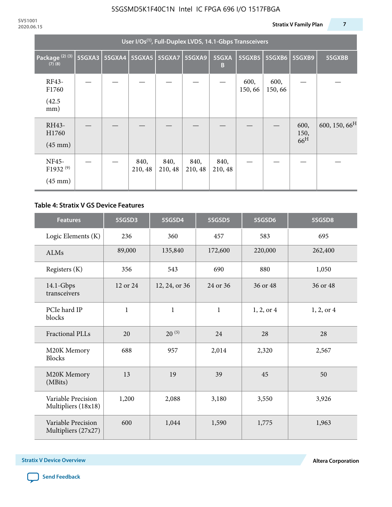|                                                    | User I/Os <sup>(1)</sup> , Full-Duplex LVDS, 14.1-Gbps Transceivers |               |                 |                 |                 |                 |                |                |                                 |                           |  |  |
|----------------------------------------------------|---------------------------------------------------------------------|---------------|-----------------|-----------------|-----------------|-----------------|----------------|----------------|---------------------------------|---------------------------|--|--|
| Package <sup>(2)(3)</sup><br>$(7)$ $(8)$           | 5SGXA3                                                              | <b>5SGXA4</b> |                 | 5SGXA5   5SGXA7 | 5SGXA9          | 5SGXA<br>B      | 5SGXB5         | <b>5SGXB6</b>  | <b>5SGXB9</b>                   | 5SGXBB                    |  |  |
| RF43-<br>F1760<br>(42.5)<br>mm)                    |                                                                     |               |                 |                 |                 |                 | 600,<br>150,66 | 600,<br>150,66 |                                 |                           |  |  |
| RH43-<br>H1760<br>$(45 \text{ mm})$                |                                                                     |               |                 |                 |                 |                 |                |                | 600,<br>150,<br>66 <sup>H</sup> | 600, 150, 66 <sup>H</sup> |  |  |
| NF45-<br>F1932 <sup>(9)</sup><br>$(45 \text{ mm})$ |                                                                     |               | 840,<br>210, 48 | 840,<br>210, 48 | 840,<br>210, 48 | 840,<br>210, 48 |                |                |                                 |                           |  |  |

#### **Table 4: Stratix V GS Device Features**

| <b>Features</b>                           | 5SGSD3       | 5SGSD4        | 5SGSD5       | 5SGSD6     | 5SGSD8     |
|-------------------------------------------|--------------|---------------|--------------|------------|------------|
| Logic Elements (K)                        | 236          | 360           | 457          | 583        | 695        |
| <b>ALMs</b>                               | 89,000       | 135,840       | 172,600      | 220,000    | 262,400    |
| Registers (K)                             | 356          | 543           | 690          | 880        | 1,050      |
| $14.1$ -Gbps<br>transceivers              | 12 or 24     | 12, 24, or 36 | 24 or 36     | 36 or 48   | 36 or 48   |
| PCIe hard IP<br>blocks                    | $\mathbf{1}$ | $\mathbf{1}$  | $\mathbf{1}$ | 1, 2, or 4 | 1, 2, or 4 |
| <b>Fractional PLLs</b>                    | 20           | $20^{(5)}$    | 24           | 28         | 28         |
| M20K Memory<br><b>Blocks</b>              | 688          | 957           | 2,014        | 2,320      | 2,567      |
| M20K Memory<br>(MBits)                    | 13           | 19            | 39           | 45         | 50         |
| Variable Precision<br>Multipliers (18x18) | 1,200        | 2,088         | 3,180        | 3,550      | 3,926      |
| Variable Precision<br>Multipliers (27x27) | 600          | 1,044         | 1,590        | 1,775      | 1,963      |

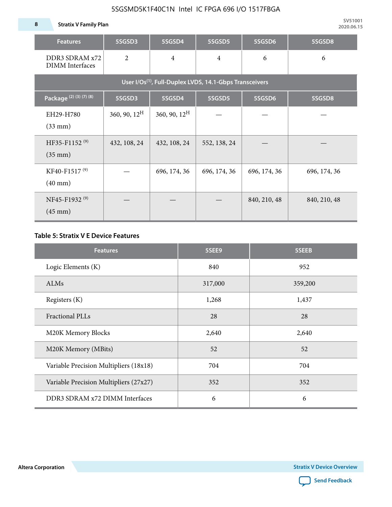**8 Stratix V Family Plan**

| <b>Features</b>                                                     | 5SGSD3                   | 5SGSD4          | 5SGSD5         | 5SGSD6       | 5SGSD8       |  |  |  |  |  |  |
|---------------------------------------------------------------------|--------------------------|-----------------|----------------|--------------|--------------|--|--|--|--|--|--|
| DDR3 SDRAM x72<br>DIMM Interfaces                                   | $\overline{2}$           | $\overline{4}$  | $\overline{4}$ | 6            | 6            |  |  |  |  |  |  |
| User I/Os <sup>(1)</sup> , Full-Duplex LVDS, 14.1-Gbps Transceivers |                          |                 |                |              |              |  |  |  |  |  |  |
| Package (2) (3) (7) (8)                                             | 5SGSD3                   | 5SGSD4          | 5SGSD5         | 5SGSD6       | 5SGSD8       |  |  |  |  |  |  |
| EH29-H780<br>$(33 \text{ mm})$                                      | $360, 90, 12^{\text{H}}$ | 360, 90, $12^H$ |                |              |              |  |  |  |  |  |  |
| HF35-F1152 <sup>(9)</sup><br>$(35 \text{ mm})$                      | 432, 108, 24             | 432, 108, 24    | 552, 138, 24   |              |              |  |  |  |  |  |  |
| KF40-F1517 <sup>(9)</sup><br>$(40 \text{ mm})$                      |                          | 696, 174, 36    | 696, 174, 36   | 696, 174, 36 | 696, 174, 36 |  |  |  |  |  |  |
| NF45-F1932 <sup>(9)</sup><br>$(45 \text{ mm})$                      |                          |                 |                | 840, 210, 48 | 840, 210, 48 |  |  |  |  |  |  |

#### **Table 5: Stratix V E Device Features**

| <b>Features</b>                        | 5SEE9   | 5SEEB   |
|----------------------------------------|---------|---------|
| Logic Elements (K)                     | 840     | 952     |
| ALMs                                   | 317,000 | 359,200 |
| Registers (K)                          | 1,268   | 1,437   |
| <b>Fractional PLLs</b>                 | 28      | 28      |
| M20K Memory Blocks                     | 2,640   | 2,640   |
| M20K Memory (MBits)                    | 52      | 52      |
| Variable Precision Multipliers (18x18) | 704     | 704     |
| Variable Precision Multipliers (27x27) | 352     | 352     |
| DDR3 SDRAM x72 DIMM Interfaces         | 6       | 6       |

**Altera Corporation** 

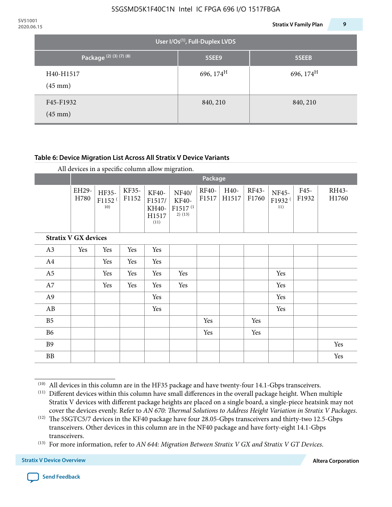| 2020.06.15 |                                    |                                       | <b>Stratix V Family Plan</b> | 9 |
|------------|------------------------------------|---------------------------------------|------------------------------|---|
|            |                                    | User I/Os $^{(1)}$ , Full-Duplex LVDS |                              |   |
|            | Package <sup>(2)</sup> (3) (7) (8) | 5SEE9                                 | 5SEEB                        |   |
|            | H40-H1517<br>$(45 \text{ mm})$     | 696, $174^{\text{H}}$                 | 696, $174^H$                 |   |
|            | F45-F1932<br>$(45 \text{ mm})$     | 840, 210                              | 840, 210                     |   |

#### **Table 6: Device Migration List Across All Stratix V Device Variants**

|                             |               | Package                            |                |                                           |                                                           |                |               |                |                                    |               |                |
|-----------------------------|---------------|------------------------------------|----------------|-------------------------------------------|-----------------------------------------------------------|----------------|---------------|----------------|------------------------------------|---------------|----------------|
|                             | EH29-<br>H780 | HF35-<br>F1152 <sup>(</sup><br>10) | KF35-<br>F1152 | KF40-<br>F1517/<br>KH40-<br>H1517<br>(11) | NF40/<br><b>KF40-</b><br>F1517 <sup>(1</sup><br>$2)$ (13) | RF40-<br>F1517 | H40-<br>H1517 | RF43-<br>F1760 | NF45-<br>F1932 <sup>(</sup><br>11) | F45-<br>F1932 | RH43-<br>H1760 |
| <b>Stratix V GX devices</b> |               |                                    |                |                                           |                                                           |                |               |                |                                    |               |                |
| A3                          | Yes           | Yes                                | Yes            | Yes                                       |                                                           |                |               |                |                                    |               |                |
| A4                          |               | Yes                                | Yes            | Yes                                       |                                                           |                |               |                |                                    |               |                |
| A <sub>5</sub>              |               | Yes                                | Yes            | Yes                                       | Yes                                                       |                |               |                | Yes                                |               |                |
| A7                          |               | Yes                                | Yes            | Yes                                       | Yes                                                       |                |               |                | Yes                                |               |                |
| A <sub>9</sub>              |               |                                    |                | Yes                                       |                                                           |                |               |                | Yes                                |               |                |
| AB                          |               |                                    |                | Yes                                       |                                                           |                |               |                | Yes                                |               |                |
| B <sub>5</sub>              |               |                                    |                |                                           |                                                           | Yes            |               | Yes            |                                    |               |                |
| B <sub>6</sub>              |               |                                    |                |                                           |                                                           | Yes            |               | Yes            |                                    |               |                |
| <b>B9</b>                   |               |                                    |                |                                           |                                                           |                |               |                |                                    |               | Yes            |
| <b>BB</b>                   |               |                                    |                |                                           |                                                           |                |               |                |                                    |               | Yes            |

 $(10)$  All devices in this column are in the HF35 package and have twenty-four 14.1-Gbps transceivers.



<sup>(11)</sup> Different devices within this column have small differences in the overall package height. When multiple Stratix V devices with different package heights are placed on a single board, a single-piece heatsink may not cover the devices evenly. Refer to *AN 670: Thermal Solutions to Address Height Variation in Stratix V Packages*.

<sup>(12)</sup> The 5SGTC5/7 devices in the KF40 package have four 28.05-Gbps transceivers and thirty-two 12.5-Gbps transceivers. Other devices in this column are in the NF40 package and have forty-eight 14.1-Gbps transceivers.

<sup>(13)</sup> For more information, refer to *AN 644: Migration Between Stratix V GX and Stratix V GT Devices*.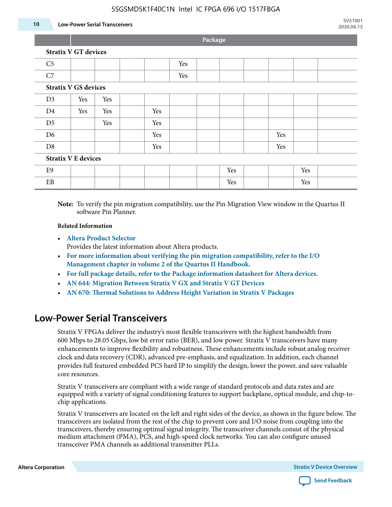#### **10 Low-Power Serial Transceivers**

**Package**

| C <sub>5</sub>              |     |     |  |     | Yes |  |     |  |     |     |  |
|-----------------------------|-----|-----|--|-----|-----|--|-----|--|-----|-----|--|
| C7                          |     |     |  |     | Yes |  |     |  |     |     |  |
| <b>Stratix V GS devices</b> |     |     |  |     |     |  |     |  |     |     |  |
| D <sub>3</sub>              | Yes | Yes |  |     |     |  |     |  |     |     |  |
| D <sub>4</sub>              | Yes | Yes |  | Yes |     |  |     |  |     |     |  |
| D <sub>5</sub>              |     | Yes |  | Yes |     |  |     |  |     |     |  |
| D <sub>6</sub>              |     |     |  | Yes |     |  |     |  | Yes |     |  |
| D <sub>8</sub>              |     |     |  | Yes |     |  |     |  | Yes |     |  |
| <b>Stratix V E devices</b>  |     |     |  |     |     |  |     |  |     |     |  |
| E <sub>9</sub>              |     |     |  |     |     |  | Yes |  |     | Yes |  |
| EB                          |     |     |  |     |     |  | Yes |  |     | Yes |  |

**Note:** To verify the pin migration compatibility, use the Pin Migration View window in the Quartus II software Pin Planner.

#### **Related Information**

• **[Altera Product Selector](http://www.altera.com/products/selector/psg-selector.html#)**

Provides the latest information about Altera products.

- **[For more information about verifying the pin migration compatibility, refer to the I/O](http://www.altera.com/literature/hb/qts/qts_qii52013.pdf) [Management chapter in volume 2 of the Quartus II Handbook.](http://www.altera.com/literature/hb/qts/qts_qii52013.pdf)**
- **[For full package details, refer to the Package information datasheet for Altera devices.](http://www.altera.com/support/devices/packaging/specifications/pkg-pin/spe-index.jsp)**
- **[AN 644: Migration Between Stratix V GX and Stratix V GT Devices](http://www.altera.com/literature/an/an644.pdf)**
- **[AN 670: Thermal Solutions to Address Height Variation in Stratix V Packages](http://www.altera.com/literature/an/an670.pdf)**

### **Low-Power Serial Transceivers**

Stratix V FPGAs deliver the industry's most flexible transceivers with the highest bandwidth from 600 Mbps to 28.05 Gbps, low bit error ratio (BER), and low power. Stratix V transceivers have many enhancements to improve flexibility and robustness. These enhancements include robust analog receiver clock and data recovery (CDR), advanced pre-emphasis, and equalization. In addition, each channel provides full featured embedded PCS hard IP to simplify the design, lower the power, and save valuable core resources.

Stratix V transceivers are compliant with a wide range of standard protocols and data rates and are equipped with a variety of signal conditioning features to support backplane, optical module, and chip-tochip applications.

Stratix V transceivers are located on the left and right sides of the device, as shown in the figure below. The transceivers are isolated from the rest of the chip to prevent core and I/O noise from coupling into the transceivers, thereby ensuring optimal signal integrity. The transceiver channels consist of the physical medium attachment (PMA), PCS, and high-speed clock networks. You can also configure unused transceiver PMA channels as additional transmitter PLLs.

**Altera Corporation Stratix V Device Overview**

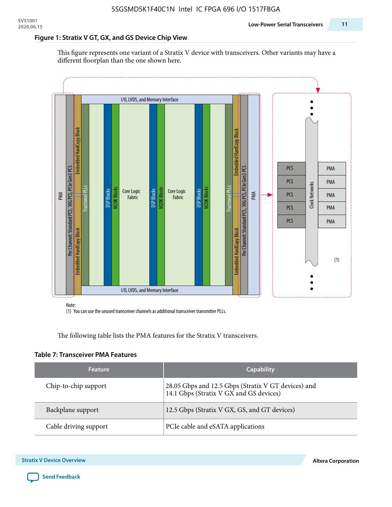#### **Figure 1: Stratix V GT, GX, and GS Device Chip View**

This figure represents one variant of a Stratix V device with transceivers. Other variants may have a different floorplan than the one shown here.



(1) You can use the unused transceiver channels as additional transceiver transmitter PLLs.

The following table lists the PMA features for the Stratix V transceivers.

#### **Table 7: Transceiver PMA Features**

| <b>Feature</b>        | <b>Capability</b>                                                                              |
|-----------------------|------------------------------------------------------------------------------------------------|
| Chip-to-chip support  | 28.05 Gbps and 12.5 Gbps (Stratix V GT devices) and<br>14.1 Gbps (Stratix V GX and GS devices) |
| Backplane support     | 12.5 Gbps (Stratix V GX, GS, and GT devices)                                                   |
| Cable driving support | PCIe cable and eSATA applications                                                              |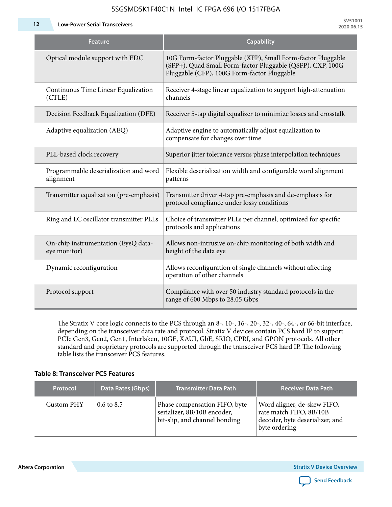**12 Low-Power Serial Transceivers**

| <b>Feature</b>                                      | <b>Capability</b>                                                                                                                                                         |
|-----------------------------------------------------|---------------------------------------------------------------------------------------------------------------------------------------------------------------------------|
| Optical module support with EDC                     | 10G Form-factor Pluggable (XFP), Small Form-factor Pluggable<br>(SFP+), Quad Small Form-factor Pluggable (QSFP), CXP, 100G<br>Pluggable (CFP), 100G Form-factor Pluggable |
| Continuous Time Linear Equalization<br>(CTLE)       | Receiver 4-stage linear equalization to support high-attenuation<br>channels                                                                                              |
| Decision Feedback Equalization (DFE)                | Receiver 5-tap digital equalizer to minimize losses and crosstalk                                                                                                         |
| Adaptive equalization (AEQ)                         | Adaptive engine to automatically adjust equalization to<br>compensate for changes over time                                                                               |
| PLL-based clock recovery                            | Superior jitter tolerance versus phase interpolation techniques                                                                                                           |
| Programmable deserialization and word<br>alignment  | Flexible deserialization width and configurable word alignment<br>patterns                                                                                                |
| Transmitter equalization (pre-emphasis)             | Transmitter driver 4-tap pre-emphasis and de-emphasis for<br>protocol compliance under lossy conditions                                                                   |
| Ring and LC oscillator transmitter PLLs             | Choice of transmitter PLLs per channel, optimized for specific<br>protocols and applications                                                                              |
| On-chip instrumentation (EyeQ data-<br>eye monitor) | Allows non-intrusive on-chip monitoring of both width and<br>height of the data eye                                                                                       |
| Dynamic reconfiguration                             | Allows reconfiguration of single channels without affecting<br>operation of other channels                                                                                |
| Protocol support                                    | Compliance with over 50 industry standard protocols in the<br>range of 600 Mbps to 28.05 Gbps                                                                             |

The Stratix V core logic connects to the PCS through an 8-, 10-, 16-, 20-, 32-, 40-, 64-, or 66-bit interface, depending on the transceiver data rate and protocol. Stratix V devices contain PCS hard IP to support PCIe Gen3, Gen2, Gen1, Interlaken, 10GE, XAUI, GbE, SRIO, CPRI, and GPON protocols. All other standard and proprietary protocols are supported through the transceiver PCS hard IP. The following table lists the transceiver PCS features.

#### **Table 8: Transceiver PCS Features**

| <b>Protocol</b> | Data Rates (Gbps)     | <b>Transmitter Data Path</b>                                                                  | <b>Receiver Data Path</b>                                                                                  |
|-----------------|-----------------------|-----------------------------------------------------------------------------------------------|------------------------------------------------------------------------------------------------------------|
| Custom PHY      | $0.6 \text{ to } 8.5$ | Phase compensation FIFO, byte<br>serializer, 8B/10B encoder,<br>bit-slip, and channel bonding | Word aligner, de-skew FIFO,<br>rate match FIFO, 8B/10B<br>decoder, byte deserializer, and<br>byte ordering |

**Altera Corporation** 

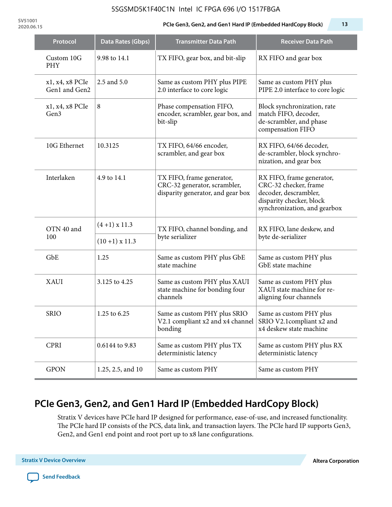**SV51001**

### **2020.06.15 PCIe Gen3, Gen2, and Gen1 Hard IP (Embedded HardCopy Block) 13**

| Protocol                         | Data Rates (Gbps) | <b>Transmitter Data Path</b>                                                                   | <b>Receiver Data Path</b>                                                                                                               |
|----------------------------------|-------------------|------------------------------------------------------------------------------------------------|-----------------------------------------------------------------------------------------------------------------------------------------|
| Custom 10G<br><b>PHY</b>         | 9.98 to 14.1      | TX FIFO, gear box, and bit-slip                                                                | RX FIFO and gear box                                                                                                                    |
| x1, x4, x8 PCIe<br>Gen1 and Gen2 | 2.5 and 5.0       | Same as custom PHY plus PIPE<br>2.0 interface to core logic                                    | Same as custom PHY plus<br>PIPE 2.0 interface to core logic                                                                             |
| x1, x4, x8 PCIe<br>Gen3          | $\,8\,$           | Phase compensation FIFO,<br>encoder, scrambler, gear box, and<br>bit-slip                      | Block synchronization, rate<br>match FIFO, decoder,<br>de-scrambler, and phase<br>compensation FIFO                                     |
| 10G Ethernet                     | 10.3125           | TX FIFO, 64/66 encoder,<br>scrambler, and gear box                                             | RX FIFO, 64/66 decoder,<br>de-scrambler, block synchro-<br>nization, and gear box                                                       |
| Interlaken                       | 4.9 to 14.1       | TX FIFO, frame generator,<br>CRC-32 generator, scrambler,<br>disparity generator, and gear box | RX FIFO, frame generator,<br>CRC-32 checker, frame<br>decoder, descrambler,<br>disparity checker, block<br>synchronization, and gearbox |
| OTN 40 and<br>100                | $(4+1)$ x 11.3    | TX FIFO, channel bonding, and<br>byte serializer                                               | RX FIFO, lane deskew, and<br>byte de-serializer                                                                                         |
|                                  | $(10+1)$ x 11.3   |                                                                                                |                                                                                                                                         |
| GbE                              | 1.25              | Same as custom PHY plus GbE<br>state machine                                                   | Same as custom PHY plus<br>GbE state machine                                                                                            |
| <b>XAUI</b>                      | 3.125 to 4.25     | Same as custom PHY plus XAUI<br>state machine for bonding four<br>channels                     | Same as custom PHY plus<br>XAUI state machine for re-<br>aligning four channels                                                         |
| <b>SRIO</b>                      | 1.25 to 6.25      | Same as custom PHY plus SRIO<br>V2.1 compliant x2 and x4 channel $ $<br>bonding                | Same as custom PHY plus<br>SRIO V2.1compliant x2 and<br>x4 deskew state machine                                                         |
| <b>CPRI</b>                      | 0.6144 to 9.83    | Same as custom PHY plus TX<br>deterministic latency                                            | Same as custom PHY plus RX<br>deterministic latency                                                                                     |
| <b>GPON</b>                      | 1.25, 2.5, and 10 | Same as custom PHY                                                                             | Same as custom PHY                                                                                                                      |

# **PCIe Gen3, Gen2, and Gen1 Hard IP (Embedded HardCopy Block)**

Stratix V devices have PCIe hard IP designed for performance, ease-of-use, and increased functionality. The PCIe hard IP consists of the PCS, data link, and transaction layers. The PCIe hard IP supports Gen3, Gen2, and Gen1 end point and root port up to x8 lane configurations.

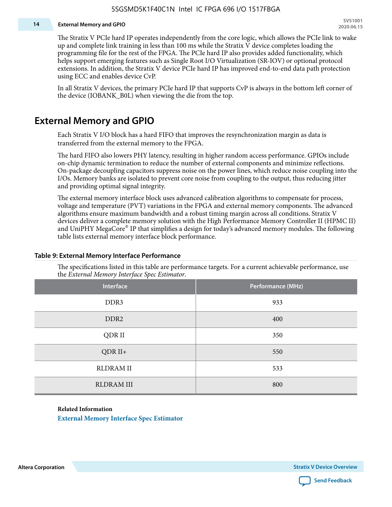#### **14 External Memory and GPIO**

The Stratix V PCIe hard IP operates independently from the core logic, which allows the PCIe link to wake up and complete link training in less than 100 ms while the Stratix V device completes loading the programming file for the rest of the FPGA. The PCIe hard IP also provides added functionality, which helps support emerging features such as Single Root I/O Virtualization (SR-IOV) or optional protocol extensions. In addition, the Stratix V device PCIe hard IP has improved end-to-end data path protection using ECC and enables device CvP.

In all Stratix V devices, the primary PCIe hard IP that supports CvP is always in the bottom left corner of the device (IOBANK\_B0L) when viewing the die from the top.

### **External Memory and GPIO**

Each Stratix V I/O block has a hard FIFO that improves the resynchronization margin as data is transferred from the external memory to the FPGA.

The hard FIFO also lowers PHY latency, resulting in higher random access performance. GPIOs include on-chip dynamic termination to reduce the number of external components and minimize reflections. On-package decoupling capacitors suppress noise on the power lines, which reduce noise coupling into the I/Os. Memory banks are isolated to prevent core noise from coupling to the output, thus reducing jitter and providing optimal signal integrity.

The external memory interface block uses advanced calibration algorithms to compensate for process, voltage and temperature (PVT) variations in the FPGA and external memory components. The advanced algorithms ensure maximum bandwidth and a robust timing margin across all conditions. Stratix V devices deliver a complete memory solution with the High Performance Memory Controller II (HPMC II) and UniPHY MegaCore® IP that simplifies a design for today's advanced memory modules. The following table lists external memory interface block performance.

| Interface         | Performance (MHz) |
|-------------------|-------------------|
| DDR3              | 933               |
| DDR <sub>2</sub>  | 400               |
| QDR II            | 350               |
| $QDR II+$         | 550               |
| <b>RLDRAM II</b>  | 533               |
| <b>RLDRAM III</b> | 800               |

#### **Table 9: External Memory Interface Performance**

The specifications listed in this table are performance targets. For a current achievable performance, use the *External Memory Interface Spec Estimator*.

#### **Related Information**

**[External Memory Interface Spec Estimator](http://www.altera.com/technology/memory/estimator/mem-emif-index.html)**

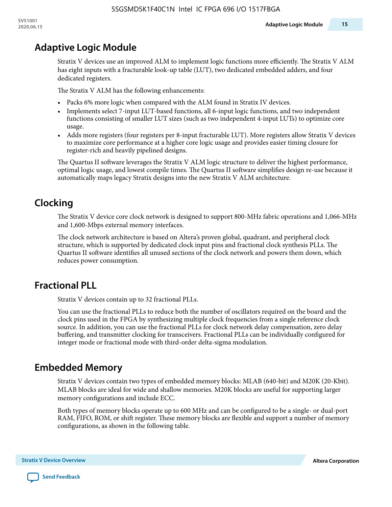# **Adaptive Logic Module**

Stratix V devices use an improved ALM to implement logic functions more efficiently. The Stratix V ALM has eight inputs with a fracturable look-up table (LUT), two dedicated embedded adders, and four dedicated registers.

The Stratix V ALM has the following enhancements:

- Packs 6% more logic when compared with the ALM found in Stratix IV devices.
- Implements select 7-input LUT-based functions, all 6-input logic functions, and two independent functions consisting of smaller LUT sizes (such as two independent 4-input LUTs) to optimize core usage.
- Adds more registers (four registers per 8-input fracturable LUT). More registers allow Stratix V devices to maximize core performance at a higher core logic usage and provides easier timing closure for register-rich and heavily pipelined designs.

The Quartus II software leverages the Stratix V ALM logic structure to deliver the highest performance, optimal logic usage, and lowest compile times. The Quartus II software simplifies design re-use because it automatically maps legacy Stratix designs into the new Stratix V ALM architecture.

# **Clocking**

The Stratix V device core clock network is designed to support 800-MHz fabric operations and 1,066-MHz and 1,600-Mbps external memory interfaces.

The clock network architecture is based on Altera's proven global, quadrant, and peripheral clock structure, which is supported by dedicated clock input pins and fractional clock synthesis PLLs. The Quartus II software identifies all unused sections of the clock network and powers them down, which reduces power consumption.

# **Fractional PLL**

Stratix V devices contain up to 32 fractional PLLs.

You can use the fractional PLLs to reduce both the number of oscillators required on the board and the clock pins used in the FPGA by synthesizing multiple clock frequencies from a single reference clock source. In addition, you can use the fractional PLLs for clock network delay compensation, zero delay buffering, and transmitter clocking for transceivers. Fractional PLLs can be individually configured for integer mode or fractional mode with third-order delta-sigma modulation.

# **Embedded Memory**

Stratix V devices contain two types of embedded memory blocks: MLAB (640-bit) and M20K (20-Kbit). MLAB blocks are ideal for wide and shallow memories. M20K blocks are useful for supporting larger memory configurations and include ECC.

Both types of memory blocks operate up to 600 MHz and can be configured to be a single- or dual-port RAM, FIFO, ROM, or shift register. These memory blocks are flexible and support a number of memory configurations, as shown in the following table.

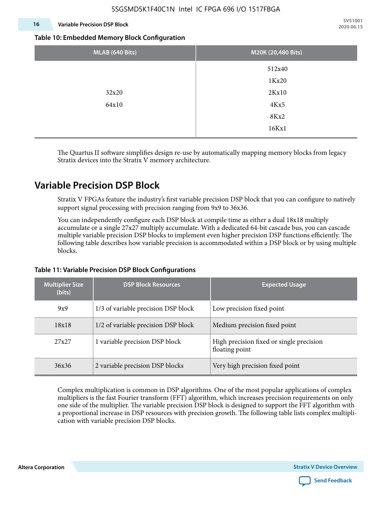#### **16 Variable Precision DSP Block**

**SV51001 2020.06.15**

#### **Table 10: Embedded Memory Block Configuration**

| MLAB (640 Bits) | M20K (20,480 Bits) |
|-----------------|--------------------|
|                 | 512x40             |
|                 | 1Kx20              |
| 32x20           | 2Kx10              |
| 64x10           | 4Kx5               |
|                 | 8Kx2               |
|                 | 16Kx1              |

The Quartus II software simplifies design re-use by automatically mapping memory blocks from legacy Stratix devices into the Stratix V memory architecture.

### **Variable Precision DSP Block**

Stratix V FPGAs feature the industry's first variable precision DSP block that you can configure to natively support signal processing with precision ranging from 9x9 to 36x36.

You can independently configure each DSP block at compile time as either a dual 18x18 multiply accumulate or a single 27x27 multiply accumulate. With a dedicated 64-bit cascade bus, you can cascade multiple variable precision DSP blocks to implement even higher precision DSP functions efficiently. The following table describes how variable precision is accommodated within a DSP block or by using multiple blocks.

| <b>Multiplier Size</b><br>(bits) | <b>DSP Block Resources</b>          | <b>Expected Usage</b>                                      |
|----------------------------------|-------------------------------------|------------------------------------------------------------|
| 9x9                              | 1/3 of variable precision DSP block | Low precision fixed point                                  |
| 18x18                            | 1/2 of variable precision DSP block | Medium precision fixed point                               |
| 27x27                            | 1 variable precision DSP block      | High precision fixed or single precision<br>floating point |
| 36x36                            | 2 variable precision DSP blocks     | Very high precision fixed point                            |

#### **Table 11: Variable Precision DSP Block Configurations**

Complex multiplication is common in DSP algorithms. One of the most popular applications of complex multipliers is the fast Fourier transform (FFT) algorithm, which increases precision requirements on only one side of the multiplier. The variable precision DSP block is designed to support the FFT algorithm with a proportional increase in DSP resources with precision growth. The following table lists complex multipli‐ cation with variable precision DSP blocks.

**Altera Corporation** 

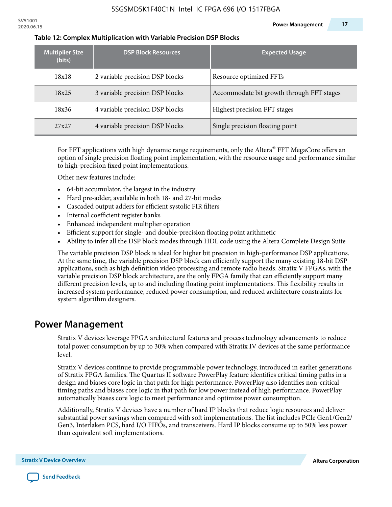| <b>Multiplier Size</b><br>(bits) | <b>DSP Block Resources</b>      | <b>Expected Usage</b>                     |
|----------------------------------|---------------------------------|-------------------------------------------|
| 18x18                            | 2 variable precision DSP blocks | Resource optimized FFTs                   |
| 18x25                            | 3 variable precision DSP blocks | Accommodate bit growth through FFT stages |
| 18x36                            | 4 variable precision DSP blocks | Highest precision FFT stages              |
| 27x27                            | 4 variable precision DSP blocks | Single precision floating point           |

#### **Table 12: Complex Multiplication with Variable Precision DSP Blocks**

For FFT applications with high dynamic range requirements, only the Altera $^\circ$  FFT MegaCore offers an option of single precision floating point implementation, with the resource usage and performance similar to high-precision fixed point implementations.

Other new features include:

- 64-bit accumulator, the largest in the industry
- Hard pre-adder, available in both 18- and 27-bit modes
- Cascaded output adders for efficient systolic FIR filters
- Internal coefficient register banks
- Enhanced independent multiplier operation
- Efficient support for single- and double-precision floating point arithmetic
- Ability to infer all the DSP block modes through HDL code using the Altera Complete Design Suite

The variable precision DSP block is ideal for higher bit precision in high-performance DSP applications. At the same time, the variable precision DSP block can efficiently support the many existing 18-bit DSP applications, such as high definition video processing and remote radio heads. Stratix V FPGAs, with the variable precision DSP block architecture, are the only FPGA family that can efficiently support many different precision levels, up to and including floating point implementations. This flexibility results in increased system performance, reduced power consumption, and reduced architecture constraints for system algorithm designers.

### **Power Management**

Stratix V devices leverage FPGA architectural features and process technology advancements to reduce total power consumption by up to 30% when compared with Stratix IV devices at the same performance level.

Stratix V devices continue to provide programmable power technology, introduced in earlier generations of Stratix FPGA families. The Quartus II software PowerPlay feature identifies critical timing paths in a design and biases core logic in that path for high performance. PowerPlay also identifies non-critical timing paths and biases core logic in that path for low power instead of high performance. PowerPlay automatically biases core logic to meet performance and optimize power consumption.

Additionally, Stratix V devices have a number of hard IP blocks that reduce logic resources and deliver substantial power savings when compared with soft implementations. The list includes PCIe Gen1/Gen2/ Gen3, Interlaken PCS, hard I/O FIFOs, and transceivers. Hard IP blocks consume up to 50% less power than equivalent soft implementations.

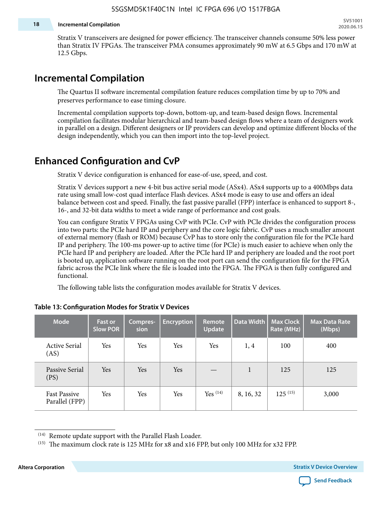#### **18 Incremental Compilation**

Stratix V transceivers are designed for power efficiency. The transceiver channels consume 50% less power than Stratix IV FPGAs. The transceiver PMA consumes approximately 90 mW at 6.5 Gbps and 170 mW at 12.5 Gbps.

### **Incremental Compilation**

The Quartus II software incremental compilation feature reduces compilation time by up to 70% and preserves performance to ease timing closure.

Incremental compilation supports top-down, bottom-up, and team-based design flows. Incremental compilation facilitates modular hierarchical and team-based design flows where a team of designers work in parallel on a design. Different designers or IP providers can develop and optimize different blocks of the design independently, which you can then import into the top-level project.

# **Enhanced Configuration and CvP**

Stratix V device configuration is enhanced for ease-of-use, speed, and cost.

Stratix V devices support a new 4-bit bus active serial mode (ASx4). ASx4 supports up to a 400Mbps data rate using small low-cost quad interface Flash devices. ASx4 mode is easy to use and offers an ideal balance between cost and speed. Finally, the fast passive parallel (FPP) interface is enhanced to support 8-, 16-, and 32-bit data widths to meet a wide range of performance and cost goals.

You can configure Stratix V FPGAs using CvP with PCIe. CvP with PCIe divides the configuration process into two parts: the PCIe hard IP and periphery and the core logic fabric. CvP uses a much smaller amount of external memory (flash or ROM) because CvP has to store only the configuration file for the PCIe hard IP and periphery. The 100-ms power-up to active time (for PCIe) is much easier to achieve when only the PCIe hard IP and periphery are loaded. After the PCIe hard IP and periphery are loaded and the root port is booted up, application software running on the root port can send the configuration file for the FPGA fabric across the PCIe link where the file is loaded into the FPGA. The FPGA is then fully configured and functional.

The following table lists the configuration modes available for Stratix V devices.

| <b>Mode</b>                           | <b>Fast or</b><br><b>Slow POR</b> | Compres-<br>sion | <b>Encryption</b> | Remote<br><b>Update</b> | Data Width | <b>Max Clock</b><br>Rate (MHz) | <b>Max Data Rate</b><br>(Mbps) |
|---------------------------------------|-----------------------------------|------------------|-------------------|-------------------------|------------|--------------------------------|--------------------------------|
| <b>Active Serial</b><br>(AS)          | Yes                               | Yes              | Yes               | Yes                     | 1, 4       | 100                            | 400                            |
| Passive Serial<br>(PS)                | Yes                               | Yes              | Yes               |                         | 1          | 125                            | 125                            |
| <b>Fast Passive</b><br>Parallel (FPP) | Yes                               | Yes              | Yes               | $Yes$ $(14)$            | 8, 16, 32  | $125^{(15)}$                   | 3,000                          |

#### **Table 13: Configuration Modes for Stratix V Devices**

**Altera Corporation Stratix V Device Overview**



<sup>(14)</sup> Remote update support with the Parallel Flash Loader.

<sup>&</sup>lt;sup>(15)</sup> The maximum clock rate is 125 MHz for x8 and x16 FPP, but only 100 MHz for x32 FPP.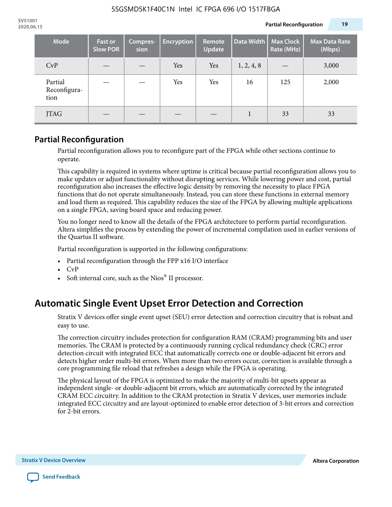| <b>Mode</b>                     | <b>Fast or</b><br><b>Slow POR</b> | Compres-<br>sion | <b>Encryption</b> | Remote<br><b>Update</b> | Data Width | <b>Max Clock</b><br>Rate (MHz) | <b>Max Data Rate</b><br>(Mbps) |
|---------------------------------|-----------------------------------|------------------|-------------------|-------------------------|------------|--------------------------------|--------------------------------|
| CvP                             |                                   |                  | Yes               | Yes                     | 1, 2, 4, 8 |                                | 3,000                          |
| Partial<br>Reconfigura-<br>tion |                                   |                  | Yes               | Yes                     | 16         | 125                            | 2,000                          |
| <b>JTAG</b>                     |                                   |                  |                   |                         |            | 33                             | 33                             |

### **Partial Reconfiguration**

Partial reconfiguration allows you to reconfigure part of the FPGA while other sections continue to operate.

This capability is required in systems where uptime is critical because partial reconfiguration allows you to make updates or adjust functionality without disrupting services. While lowering power and cost, partial reconfiguration also increases the effective logic density by removing the necessity to place FPGA functions that do not operate simultaneously. Instead, you can store these functions in external memory and load them as required. This capability reduces the size of the FPGA by allowing multiple applications on a single FPGA, saving board space and reducing power.

You no longer need to know all the details of the FPGA architecture to perform partial reconfiguration. Altera simplifies the process by extending the power of incremental compilation used in earlier versions of the Quartus II software.

Partial reconfiguration is supported in the following configurations:

- Partial reconfiguration through the FPP x16 I/O interface
- CvP
- Soft internal core, such as the Nios® II processor.

# **Automatic Single Event Upset Error Detection and Correction**

Stratix V devices offer single event upset (SEU) error detection and correction circuitry that is robust and easy to use.

The correction circuitry includes protection for configuration RAM (CRAM) programming bits and user memories. The CRAM is protected by a continuously running cyclical redundancy check (CRC) error detection circuit with integrated ECC that automatically corrects one or double-adjacent bit errors and detects higher order multi-bit errors. When more than two errors occur, correction is available through a core programming file reload that refreshes a design while the FPGA is operating.

The physical layout of the FPGA is optimized to make the majority of multi-bit upsets appear as independent single- or double-adjacent bit errors, which are automatically corrected by the integrated CRAM ECC circuitry. In addition to the CRAM protection in Stratix V devices, user memories include integrated ECC circuitry and are layout-optimized to enable error detection of 3-bit errors and correction for 2-bit errors.

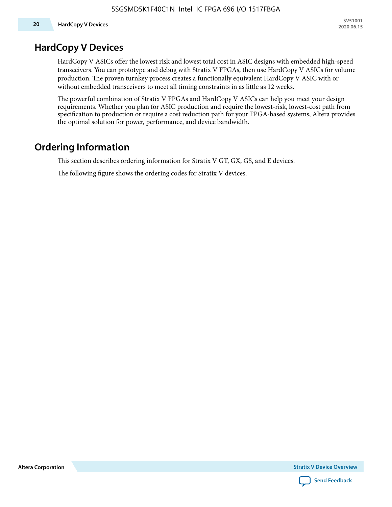### **HardCopy V Devices**

HardCopy V ASICs offer the lowest risk and lowest total cost in ASIC designs with embedded high-speed transceivers. You can prototype and debug with Stratix V FPGAs, then use HardCopy V ASICs for volume production. The proven turnkey process creates a functionally equivalent HardCopy V ASIC with or without embedded transceivers to meet all timing constraints in as little as 12 weeks.

The powerful combination of Stratix V FPGAs and HardCopy V ASICs can help you meet your design requirements. Whether you plan for ASIC production and require the lowest-risk, lowest-cost path from specification to production or require a cost reduction path for your FPGA-based systems, Altera provides the optimal solution for power, performance, and device bandwidth.

# **Ordering Information**

This section describes ordering information for Stratix V GT, GX, GS, and E devices.

The following figure shows the ordering codes for Stratix V devices.

**Altera Corporation** 

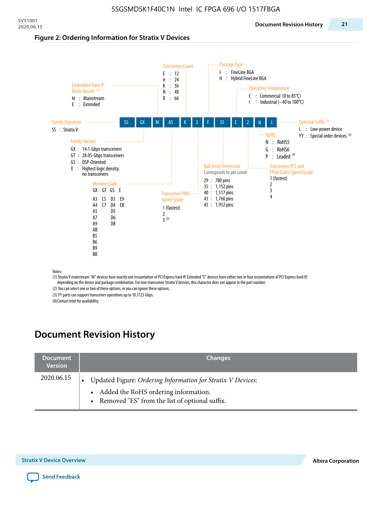#### **Figure 2: Ordering Information for Stratix V Devices**



(1) Stratix V mainstream "M" devices have exactly one instantiation of PCI Express hard IP. Extended "E" devices have either two or four instantiations of PCI Express hard IP, depending on the device and package combination. For non-transceiver Stratix V devices, this character does not appear in the part number.

(2) You can select one or two of these options, or you can ignore these options.

(3) YY parts can support transceiver operations up to 10.3125 Gbps.

(4) Contact Intel for availability.

# **Document Revision History**

| <b>Document</b><br><b>Version</b> | <b>Changes</b>                                                                                                                                            |
|-----------------------------------|-----------------------------------------------------------------------------------------------------------------------------------------------------------|
| 2020.06.15                        | Updated Figure: Ordering Information for Stratix V Devices:<br>• Added the RoHS ordering information.<br>• Removed "ES" from the list of optional suffix. |

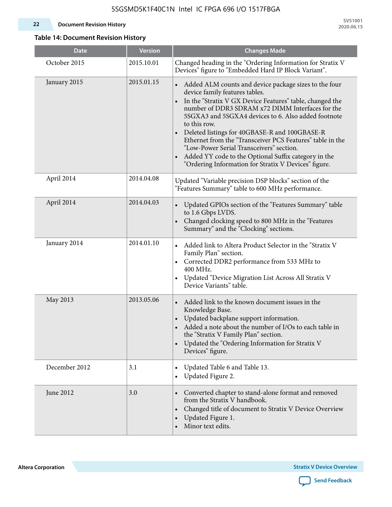#### **22 Document Revision History**

**SV51001 2020.06.15**

### **Table 14: Document Revision History**

| <b>Date</b>   | <b>Version</b> | <b>Changes Made</b>                                                                                                                                                                                                                                                                                                                                                                                                                                                                                                                                                                |
|---------------|----------------|------------------------------------------------------------------------------------------------------------------------------------------------------------------------------------------------------------------------------------------------------------------------------------------------------------------------------------------------------------------------------------------------------------------------------------------------------------------------------------------------------------------------------------------------------------------------------------|
| October 2015  | 2015.10.01     | Changed heading in the "Ordering Information for Stratix V<br>Devices" figure to "Embedded Hard IP Block Variant".                                                                                                                                                                                                                                                                                                                                                                                                                                                                 |
| January 2015  | 2015.01.15     | Added ALM counts and device package sizes to the four<br>device family features tables.<br>In the "Stratix V GX Device Features" table, changed the<br>$\bullet$<br>number of DDR3 SDRAM x72 DIMM Interfaces for the<br>5SGXA3 and 5SGXA4 devices to 6. Also added footnote<br>to this row.<br>Deleted listings for 40GBASE-R and 100GBASE-R<br>Ethernet from the "Transceiver PCS Features" table in the<br>"Low-Power Serial Transceivers" section.<br>Added YY code to the Optional Suffix category in the<br>$\bullet$<br>"Ordering Information for Stratix V Devices" figure. |
| April 2014    | 2014.04.08     | Updated "Variable precision DSP blocks" section of the<br>"Features Summary" table to 600 MHz performance.                                                                                                                                                                                                                                                                                                                                                                                                                                                                         |
| April 2014    | 2014.04.03     | Updated GPIOs section of the "Features Summary" table<br>to 1.6 Gbps LVDS.<br>Changed clocking speed to 800 MHz in the "Features<br>Summary" and the "Clocking" sections.                                                                                                                                                                                                                                                                                                                                                                                                          |
| January 2014  | 2014.01.10     | Added link to Altera Product Selector in the "Stratix V<br>Family Plan" section.<br>• Corrected DDR2 performance from 533 MHz to<br>400 MHz.<br>Updated "Device Migration List Across All Stratix V<br>Device Variants" table.                                                                                                                                                                                                                                                                                                                                                     |
| May 2013      | 2013.05.06     | Added link to the known document issues in the<br>Knowledge Base.<br>Updated backplane support information.<br>$\bullet$<br>Added a note about the number of I/Os to each table in<br>the "Stratix V Family Plan" section.<br>Updated the "Ordering Information for Stratix V<br>$\bullet$<br>Devices" figure.                                                                                                                                                                                                                                                                     |
| December 2012 | 3.1            | Updated Table 6 and Table 13.<br>$\bullet$<br>Updated Figure 2.<br>$\bullet$                                                                                                                                                                                                                                                                                                                                                                                                                                                                                                       |
| June 2012     | 3.0            | Converted chapter to stand-alone format and removed<br>$\bullet$<br>from the Stratix V handbook.<br>Changed title of document to Stratix V Device Overview<br>$\bullet$<br>Updated Figure 1.<br>$\bullet$<br>Minor text edits.                                                                                                                                                                                                                                                                                                                                                     |

**Altera Corporation** 

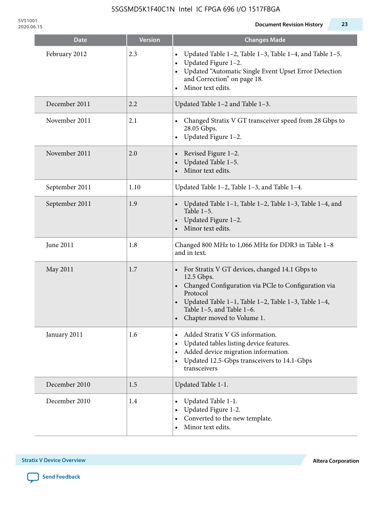| <b>Date</b>    | <b>Version</b> | <b>Changes Made</b>                                                                                                                                                                                                                                              |
|----------------|----------------|------------------------------------------------------------------------------------------------------------------------------------------------------------------------------------------------------------------------------------------------------------------|
| February 2012  | 2.3            | Updated Table 1-2, Table 1-3, Table 1-4, and Table 1-5.<br>$\bullet$<br>Updated Figure 1-2.<br>$\bullet$<br>Updated "Automatic Single Event Upset Error Detection<br>and Correction" on page 18.<br>Minor text edits.                                            |
| December 2011  | 2.2            | Updated Table 1-2 and Table 1-3.                                                                                                                                                                                                                                 |
| November 2011  | 2.1            | Changed Stratix V GT transceiver speed from 28 Gbps to<br>28.05 Gbps.<br>Updated Figure 1-2.<br>$\bullet$                                                                                                                                                        |
| November 2011  | 2.0            | Revised Figure 1-2.<br>Updated Table 1-5.<br>Minor text edits.                                                                                                                                                                                                   |
| September 2011 | 1.10           | Updated Table 1-2, Table 1-3, and Table 1-4.                                                                                                                                                                                                                     |
| September 2011 | 1.9            | Updated Table 1-1, Table 1-2, Table 1-3, Table 1-4, and<br>$\bullet$<br>Table $1-5$ .<br>Updated Figure 1-2.<br>Minor text edits.                                                                                                                                |
| June 2011      | 1.8            | Changed 800 MHz to 1,066 MHz for DDR3 in Table 1-8<br>and in text.                                                                                                                                                                                               |
| May 2011       | 1.7            | For Stratix V GT devices, changed 14.1 Gbps to<br>$\bullet$<br>12.5 Gbps.<br>• Changed Configuration via PCIe to Configuration via<br>Protocol<br>Updated Table 1–1, Table 1–2, Table 1–3, Table 1–4,<br>Table 1-5, and Table 1-6.<br>Chapter moved to Volume 1. |
| January 2011   | 1.6            | Added Stratix V GS information.<br>$\bullet$<br>Updated tables listing device features.<br>Added device migration information.<br>Updated 12.5-Gbps transceivers to 14.1-Gbps<br>$\bullet$<br>transceivers                                                       |
| December 2010  | 1.5            | Updated Table 1-1.                                                                                                                                                                                                                                               |
| December 2010  | 1.4            | Updated Table 1-1.<br>Updated Figure 1-2.<br>Converted to the new template.<br>Minor text edits.                                                                                                                                                                 |

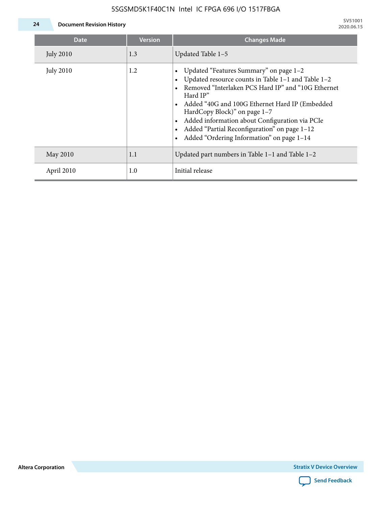

**24 Document Revision History**

| Date             | <b>Version</b> | <b>Changes Made</b>                                                                                                                                                                                                                                                                                                                                                                             |
|------------------|----------------|-------------------------------------------------------------------------------------------------------------------------------------------------------------------------------------------------------------------------------------------------------------------------------------------------------------------------------------------------------------------------------------------------|
| <b>July 2010</b> | 1.3            | Updated Table 1-5                                                                                                                                                                                                                                                                                                                                                                               |
| <b>July 2010</b> | 1.2            | Updated "Features Summary" on page 1-2<br>Updated resource counts in Table 1-1 and Table 1-2<br>Removed "Interlaken PCS Hard IP" and "10G Ethernet<br>Hard IP"<br>Added "40G and 100G Ethernet Hard IP (Embedded<br>HardCopy Block)" on page 1-7<br>Added information about Configuration via PCIe<br>Added "Partial Reconfiguration" on page 1-12<br>Added "Ordering Information" on page 1-14 |
| May 2010         | 1.1            | Updated part numbers in Table 1-1 and Table 1-2                                                                                                                                                                                                                                                                                                                                                 |
| April 2010       | 1.0            | Initial release                                                                                                                                                                                                                                                                                                                                                                                 |

**Altera Corporation**